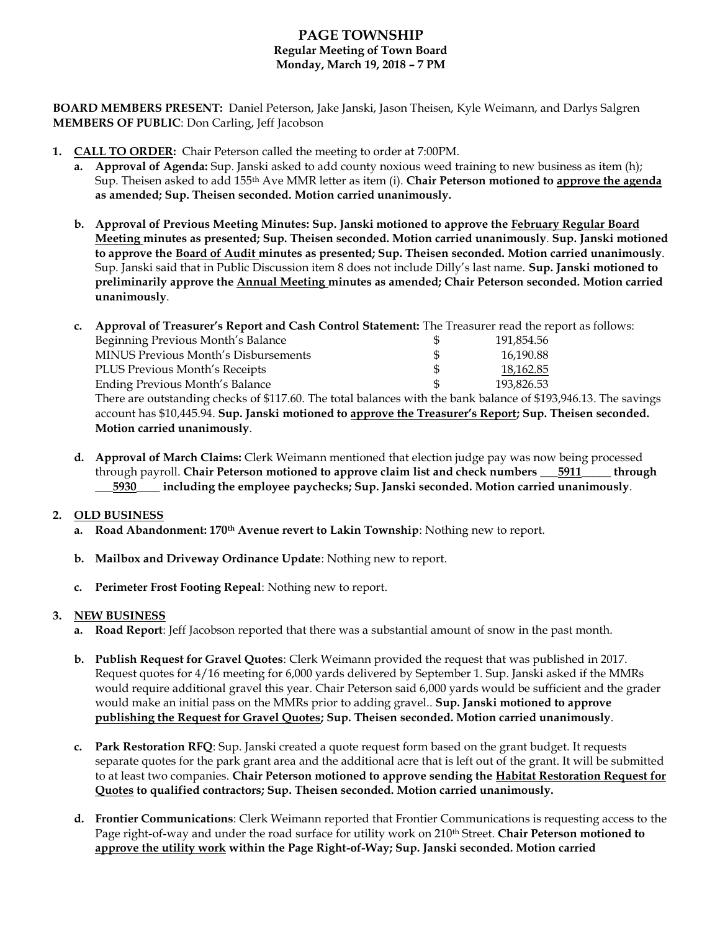# **PAGE TOWNSHIP Regular Meeting of Town Board Monday, March 19, 2018 – 7 PM**

**BOARD MEMBERS PRESENT:** Daniel Peterson, Jake Janski, Jason Theisen, Kyle Weimann, and Darlys Salgren **MEMBERS OF PUBLIC**: Don Carling, Jeff Jacobson

- **1. CALL TO ORDER:** Chair Peterson called the meeting to order at 7:00PM.
	- **a. Approval of Agenda:** Sup. Janski asked to add county noxious weed training to new business as item (h); Sup. Theisen asked to add 155th Ave MMR letter as item (i). **Chair Peterson motioned to approve the agenda as amended; Sup. Theisen seconded. Motion carried unanimously.**
	- **b. Approval of Previous Meeting Minutes: Sup. Janski motioned to approve the February Regular Board Meeting minutes as presented; Sup. Theisen seconded. Motion carried unanimously**. **Sup. Janski motioned to approve the Board of Audit minutes as presented; Sup. Theisen seconded. Motion carried unanimously**. Sup. Janski said that in Public Discussion item 8 does not include Dilly's last name. **Sup. Janski motioned to preliminarily approve the Annual Meeting minutes as amended; Chair Peterson seconded. Motion carried unanimously**.
	- **c. Approval of Treasurer's Report and Cash Control Statement:** The Treasurer read the report as follows:

| Beginning Previous Month's Balance          | 191,854.56 |
|---------------------------------------------|------------|
| <b>MINUS Previous Month's Disbursements</b> | 16,190.88  |
| PLUS Previous Month's Receipts              | 18,162.85  |
| Ending Previous Month's Balance             | 193.826.53 |
|                                             |            |

There are outstanding checks of \$117.60. The total balances with the bank balance of \$193,946.13. The savings account has \$10,445.94. **Sup. Janski motioned to approve the Treasurer's Report; Sup. Theisen seconded. Motion carried unanimously**.

**d. Approval of March Claims:** Clerk Weimann mentioned that election judge pay was now being processed through payroll. **Chair Peterson motioned to approve claim list and check numbers \_\_\_5911\_\_\_\_\_ through \_\_\_5930\_\_\_\_ including the employee paychecks; Sup. Janski seconded. Motion carried unanimously**.

## **2. OLD BUSINESS**

- **a. Road Abandonment: 170th Avenue revert to Lakin Township**: Nothing new to report.
- **b. Mailbox and Driveway Ordinance Update**: Nothing new to report.
- **c. Perimeter Frost Footing Repeal**: Nothing new to report.

## **3. NEW BUSINESS**

- **a. Road Report**: Jeff Jacobson reported that there was a substantial amount of snow in the past month.
- **b. Publish Request for Gravel Quotes**: Clerk Weimann provided the request that was published in 2017. Request quotes for 4/16 meeting for 6,000 yards delivered by September 1. Sup. Janski asked if the MMRs would require additional gravel this year. Chair Peterson said 6,000 yards would be sufficient and the grader would make an initial pass on the MMRs prior to adding gravel.. **Sup. Janski motioned to approve publishing the Request for Gravel Quotes; Sup. Theisen seconded. Motion carried unanimously**.
- **c. Park Restoration RFQ**: Sup. Janski created a quote request form based on the grant budget. It requests separate quotes for the park grant area and the additional acre that is left out of the grant. It will be submitted to at least two companies. **Chair Peterson motioned to approve sending the Habitat Restoration Request for Quotes to qualified contractors; Sup. Theisen seconded. Motion carried unanimously.**
- **d. Frontier Communications**: Clerk Weimann reported that Frontier Communications is requesting access to the Page right-of-way and under the road surface for utility work on 210<sup>th</sup> Street. Chair Peterson motioned to **approve the utility work within the Page Right-of-Way; Sup. Janski seconded. Motion carried**